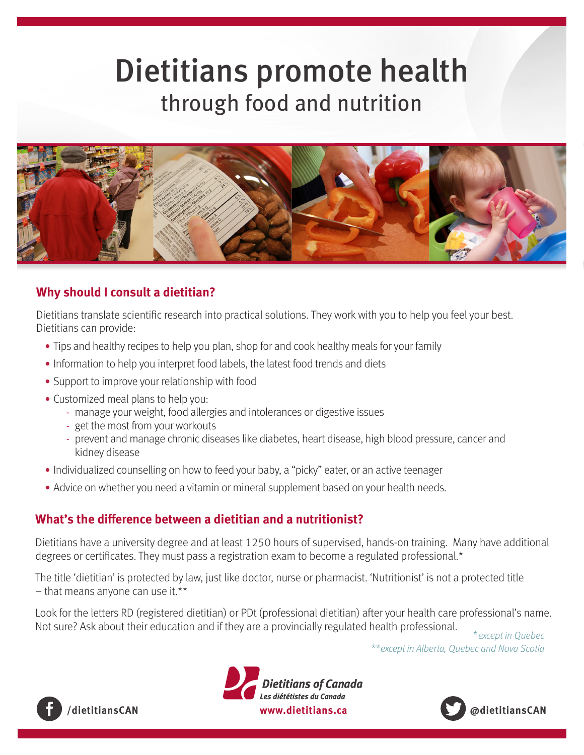# Dietitians promote health through food and nutrition



### **Why should I consult a dietitian?**

Dietitians translate scientific research into practical solutions. They work with you to help you feel your best. Dietitians can provide:

- Tips and healthy recipes to help you plan, shop for and cook healthy meals for your family
- Information to help you interpret food labels, the latest food trends and diets
- Support to improve your relationship with food
- Customized meal plans to help you:
	- manage your weight, food allergies and intolerances or digestive issues
	- get the most from your workouts
	- prevent and manage chronic diseases like diabetes, heart disease, high blood pressure, cancer and kidney disease
- Individualized counselling on how to feed your baby, a "picky" eater, or an active teenager
- Advice on whether you need a vitamin or mineral supplement based on your health needs.

#### **What's the difference between a dietitian and a nutritionist?**

Dietitians have a university degree and at least 1250 hours of supervised, hands-on training. Many have additional degrees or certificates. They must pass a registration exam to become a regulated professional.\*

The title 'dietitian' is protected by law, just like doctor, nurse or pharmacist. 'Nutritionist' is not a protected title  $-$  that means anyone can use it.\*\*

Look for the letters RD (registered dietitian) or PDt (professional dietitian) after your health care professional's name. Not sure? Ask about their education and if they are a provincially regulated health professional.<br>\*except in Quebec

\*\*except in Alberta, Quebec and Nova Scotia